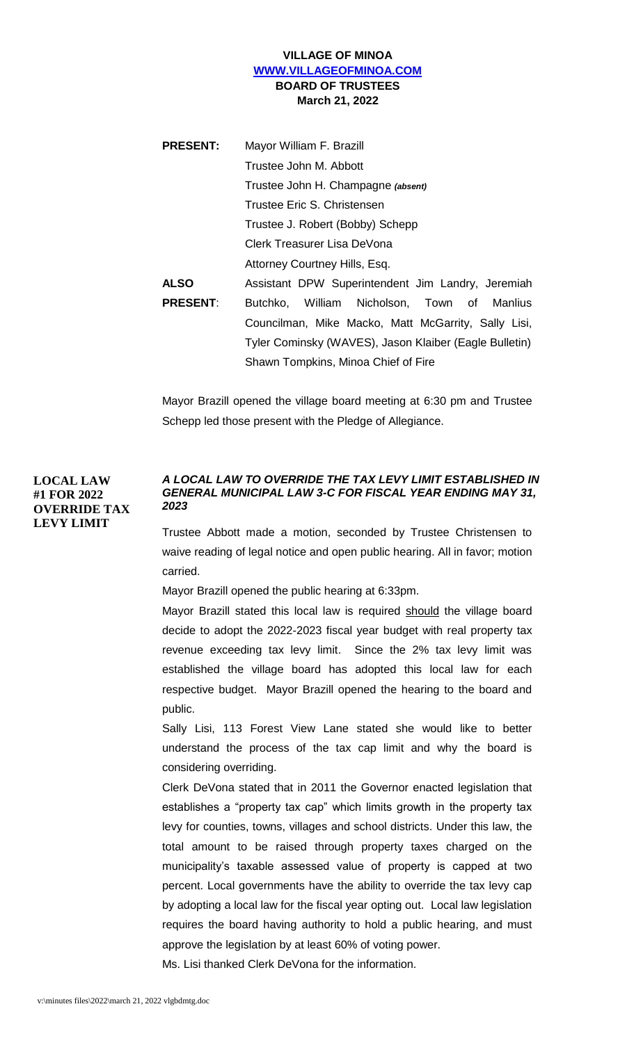## **VILLAGE OF MINOA [WWW.VILLAGEOFMINOA.COM](http://www.villageofminoa.com/) BOARD OF TRUSTEES March 21, 2022**

| <b>PRESENT:</b> | Mayor William F. Brazill                               |
|-----------------|--------------------------------------------------------|
|                 | Trustee John M. Abbott                                 |
|                 | Trustee John H. Champagne (absent)                     |
|                 | Trustee Eric S. Christensen                            |
|                 | Trustee J. Robert (Bobby) Schepp                       |
|                 | Clerk Treasurer Lisa DeVona                            |
|                 | Attorney Courtney Hills, Esq.                          |
| <b>ALSO</b>     | Assistant DPW Superintendent Jim Landry, Jeremiah      |
| <b>PRESENT:</b> | Butchko, William Nicholson, Town of Manlius            |
|                 | Councilman, Mike Macko, Matt McGarrity, Sally Lisi,    |
|                 | Tyler Cominsky (WAVES), Jason Klaiber (Eagle Bulletin) |
|                 | Shawn Tompkins, Minoa Chief of Fire                    |

Mayor Brazill opened the village board meeting at 6:30 pm and Trustee Schepp led those present with the Pledge of Allegiance.

# **LOCAL LAW #1 FOR 2022 OVERRIDE TAX LEVY LIMIT**

# *A LOCAL LAW TO OVERRIDE THE TAX LEVY LIMIT ESTABLISHED IN GENERAL MUNICIPAL LAW 3-C FOR FISCAL YEAR ENDING MAY 31, 2023*

Trustee Abbott made a motion, seconded by Trustee Christensen to waive reading of legal notice and open public hearing. All in favor; motion carried.

Mayor Brazill opened the public hearing at 6:33pm.

Mayor Brazill stated this local law is required should the village board decide to adopt the 2022-2023 fiscal year budget with real property tax revenue exceeding tax levy limit. Since the 2% tax levy limit was established the village board has adopted this local law for each respective budget. Mayor Brazill opened the hearing to the board and public.

Sally Lisi, 113 Forest View Lane stated she would like to better understand the process of the tax cap limit and why the board is considering overriding.

Clerk DeVona stated that in 2011 the Governor enacted legislation that establishes a "property tax cap" which limits growth in the property tax levy for counties, towns, villages and school districts. Under this law, the total amount to be raised through property taxes charged on the municipality's taxable assessed value of property is capped at two percent. Local governments have the ability to override the tax levy cap by adopting a local law for the fiscal year opting out. Local law legislation requires the board having authority to hold a public hearing, and must approve the legislation by at least 60% of voting power.

Ms. Lisi thanked Clerk DeVona for the information.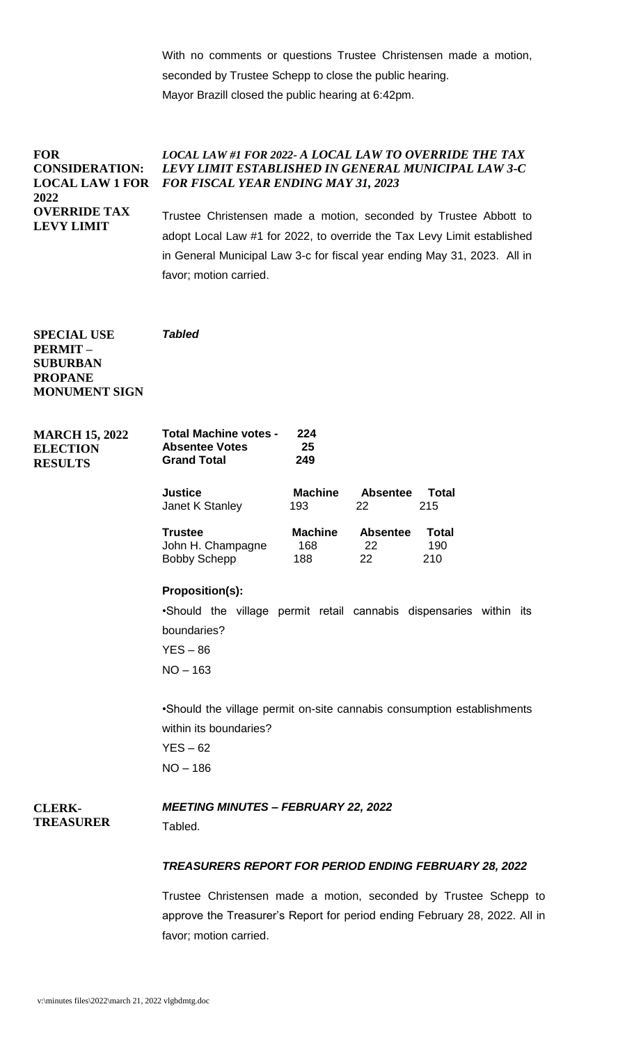With no comments or questions Trustee Christensen made a motion, seconded by Trustee Schepp to close the public hearing. Mayor Brazill closed the public hearing at 6:42pm.

**FOR CONSIDERATION: LOCAL LAW 1 FOR 2022 OVERRIDE TAX LEVY LIMIT** *LOCAL LAW #1 FOR 2022- A LOCAL LAW TO OVERRIDE THE TAX LEVY LIMIT ESTABLISHED IN GENERAL MUNICIPAL LAW 3-C FOR FISCAL YEAR ENDING MAY 31, 2023* Trustee Christensen made a motion, seconded by Trustee Abbott to adopt Local Law #1 for 2022, to override the Tax Levy Limit established in General Municipal Law 3-c for fiscal year ending May 31, 2023. All in

favor; motion carried.

*Tabled*

**SPECIAL USE PERMIT – SUBURBAN PROPANE MONUMENT SIGN**

**MARCH 15, 2022 ELECTION RESULTS**

**Total Machine votes - 224 Absentee Votes 25 Grand Total Justice Machine Absentee Total** Janet K Stanley 193 22 215 **Trustee Machine Absentee Total** John H. Champagne 168 22 190 Bobby Schepp 188 22 210

### **Proposition(s):**

•Should the village permit retail cannabis dispensaries within its boundaries?

 $YES - 86$ NO – 163

•Should the village permit on-site cannabis consumption establishments within its boundaries?

 $YES - 62$ NO – 186

### **CLERK-TREASURER**

### *MEETING MINUTES – FEBRUARY 22, 2022*

Tabled.

### *TREASURERS REPORT FOR PERIOD ENDING FEBRUARY 28, 2022*

Trustee Christensen made a motion, seconded by Trustee Schepp to approve the Treasurer's Report for period ending February 28, 2022. All in favor; motion carried.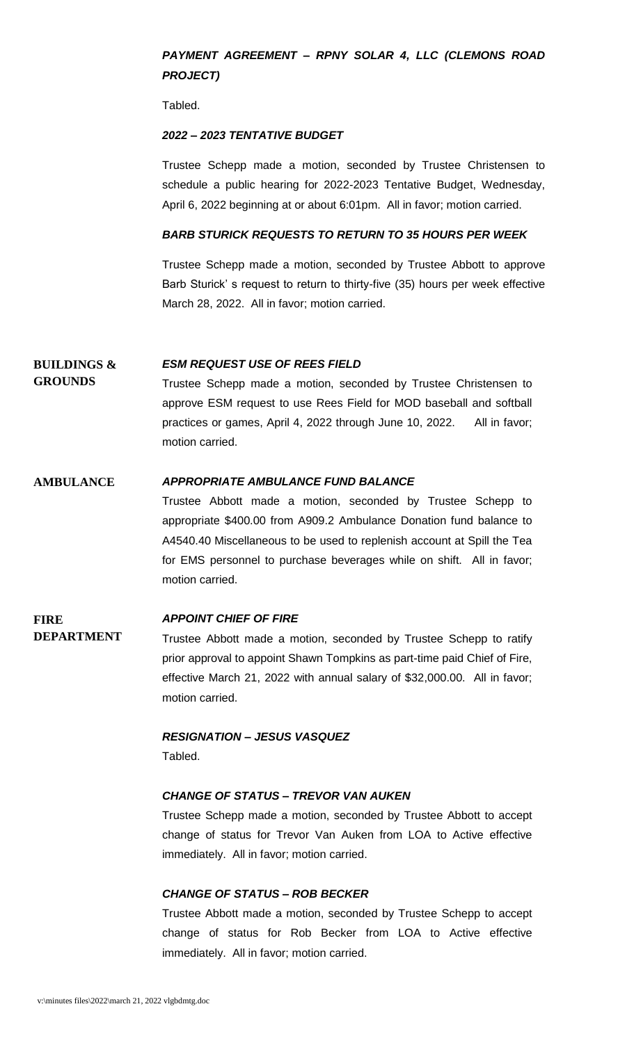# *PAYMENT AGREEMENT – RPNY SOLAR 4, LLC (CLEMONS ROAD PROJECT)*

Tabled.

### *2022 – 2023 TENTATIVE BUDGET*

Trustee Schepp made a motion, seconded by Trustee Christensen to schedule a public hearing for 2022-2023 Tentative Budget, Wednesday, April 6, 2022 beginning at or about 6:01pm. All in favor; motion carried.

## *BARB STURICK REQUESTS TO RETURN TO 35 HOURS PER WEEK*

Trustee Schepp made a motion, seconded by Trustee Abbott to approve Barb Sturick' s request to return to thirty-five (35) hours per week effective March 28, 2022. All in favor; motion carried.

#### **BUILDINGS &**  *ESM REQUEST USE OF REES FIELD*

**GROUNDS**

Trustee Schepp made a motion, seconded by Trustee Christensen to approve ESM request to use Rees Field for MOD baseball and softball practices or games, April 4, 2022 through June 10, 2022. All in favor; motion carried.

## **AMBULANCE** *APPROPRIATE AMBULANCE FUND BALANCE*

Trustee Abbott made a motion, seconded by Trustee Schepp to appropriate \$400.00 from A909.2 Ambulance Donation fund balance to A4540.40 Miscellaneous to be used to replenish account at Spill the Tea for EMS personnel to purchase beverages while on shift. All in favor; motion carried.

### **FIRE DEPARTMENT** *APPOINT CHIEF OF FIRE* Trustee Abbott made a motion, seconded by Trustee Schepp to ratify prior approval to appoint Shawn Tompkins as part-time paid Chief of Fire, effective March 21, 2022 with annual salary of \$32,000.00. All in favor; motion carried.

*RESIGNATION – JESUS VASQUEZ* Tabled.

### *CHANGE OF STATUS – TREVOR VAN AUKEN*

Trustee Schepp made a motion, seconded by Trustee Abbott to accept change of status for Trevor Van Auken from LOA to Active effective immediately. All in favor; motion carried.

### *CHANGE OF STATUS – ROB BECKER*

Trustee Abbott made a motion, seconded by Trustee Schepp to accept change of status for Rob Becker from LOA to Active effective immediately. All in favor; motion carried.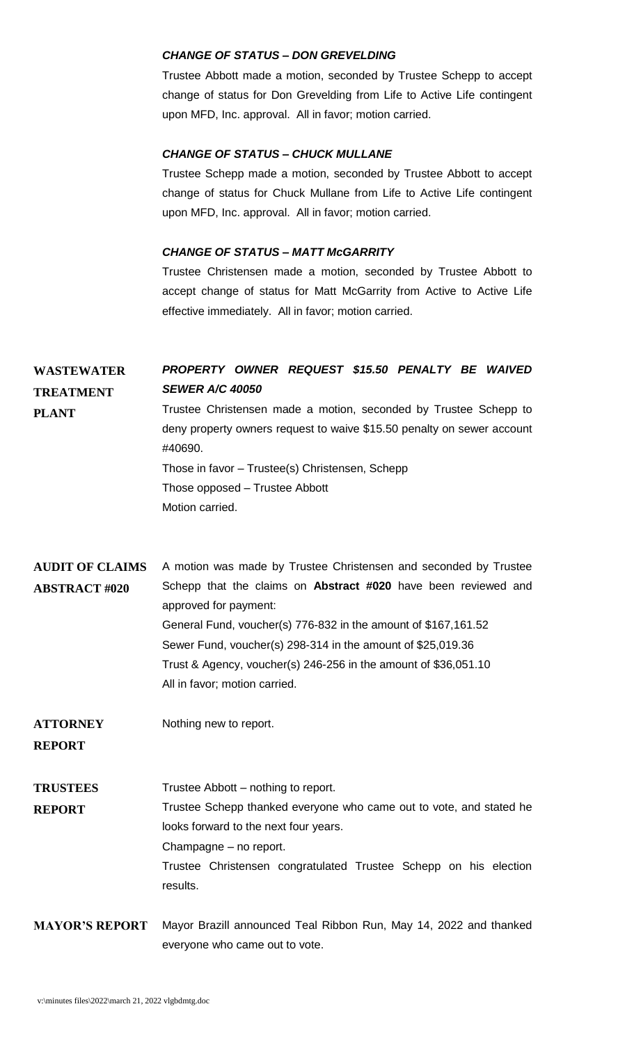### *CHANGE OF STATUS – DON GREVELDING*

Trustee Abbott made a motion, seconded by Trustee Schepp to accept change of status for Don Grevelding from Life to Active Life contingent upon MFD, Inc. approval. All in favor; motion carried.

# *CHANGE OF STATUS – CHUCK MULLANE*

Trustee Schepp made a motion, seconded by Trustee Abbott to accept change of status for Chuck Mullane from Life to Active Life contingent upon MFD, Inc. approval. All in favor; motion carried.

# *CHANGE OF STATUS – MATT McGARRITY*

Trustee Christensen made a motion, seconded by Trustee Abbott to accept change of status for Matt McGarrity from Active to Active Life effective immediately. All in favor; motion carried.

| <b>WASTEWATER</b><br><b>TREATMENT</b><br><b>PLANT</b> | PROPERTY OWNER REQUEST \$15.50 PENALTY BE WAIVED<br><b>SEWER A/C 40050</b><br>Trustee Christensen made a motion, seconded by Trustee Schepp to<br>deny property owners request to waive \$15.50 penalty on sewer account<br>#40690.<br>Those in favor - Trustee(s) Christensen, Schepp<br>Those opposed – Trustee Abbott<br>Motion carried.                                                      |
|-------------------------------------------------------|--------------------------------------------------------------------------------------------------------------------------------------------------------------------------------------------------------------------------------------------------------------------------------------------------------------------------------------------------------------------------------------------------|
| <b>AUDIT OF CLAIMS</b><br><b>ABSTRACT #020</b>        | A motion was made by Trustee Christensen and seconded by Trustee<br>Schepp that the claims on Abstract #020 have been reviewed and<br>approved for payment:<br>General Fund, voucher(s) 776-832 in the amount of \$167,161.52<br>Sewer Fund, voucher(s) 298-314 in the amount of \$25,019.36<br>Trust & Agency, voucher(s) 246-256 in the amount of \$36,051.10<br>All in favor; motion carried. |
| <b>ATTORNEY</b><br><b>REPORT</b>                      | Nothing new to report.                                                                                                                                                                                                                                                                                                                                                                           |
| <b>TRUSTEES</b><br><b>REPORT</b>                      | Trustee Abbott – nothing to report.<br>Trustee Schepp thanked everyone who came out to vote, and stated he<br>looks forward to the next four years.<br>Champagne - no report.<br>Trustee Christensen congratulated Trustee Schepp on his election<br>results.                                                                                                                                    |
| <b>MAYOR'S REPORT</b>                                 | Mayor Brazill announced Teal Ribbon Run, May 14, 2022 and thanked<br>everyone who came out to vote.                                                                                                                                                                                                                                                                                              |